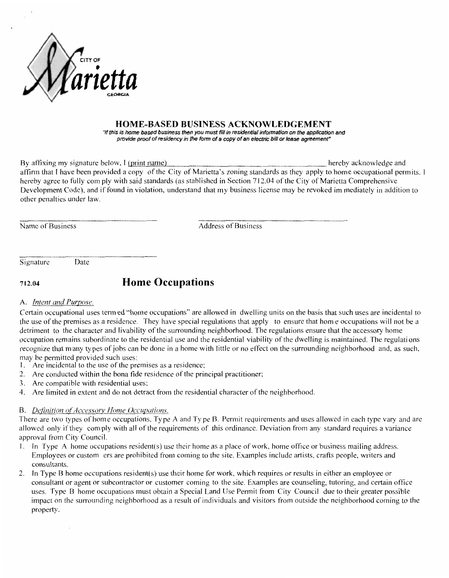

### **HOME-BASED BUSINESS ACKNOWLEDGEMENT**

"If this is home based business then you must fill in residential information on the application and provide proof of residency in the form of a copy of an electric bill or lease agreement"

hereby acknowledge and By affixing my signature below, I (print name) affirm that I have been provided a copy of the City of Marietta's zoning standards as they apply to home occupational permits. I hereby agree to fully com ply with said standards (as stablished in Section 712.04 of the City of Marietta Comprehensive Development Code), and if found in violation, understand that my business license may be revoked im mediately in addition to other penalties under law.

Name of Business

**Address of Business** 

Signature

#### **Home Occupations** 712.04

#### A. Intent and Purpose.

Certain occupational uses term ed "home occupations" are allowed in dwelling units on the basis that such uses are incidental to the use of the premises as a residence. They have special regulations that apply to ensure that home occupations will not be a detriment to the character and livability of the surrounding neighborhood. The regulations ensure that the accessory home occupation remains subordinate to the residential use and the residential viability of the dwelling is maintained. The regulations recognize that many types of jobs can be done in a home with little or no effect on the surrounding neighborhood and, as such, may be permitted provided such uses:

- 1. Are incidental to the use of the premises as a residence;
- 2. Are conducted within the bona fide residence of the principal practitioner;
- 3. Are compatible with residential uses;

Date

4. Are limited in extent and do not detract from the residential character of the neighborhood.

## B. Definition of Accessory Home Occupations.

There are two types of home occupations, Type A and Type B. Permit requirements and uses allowed in each type vary and are allowed only if they comply with all of the requirements of this ordinance. Deviation from any standard requires a variance approval from City Council.

- 1. In Type A home occupations resident(s) use their home as a place of work, home office or business mailing address. Employees or custom ers are prohibited from coming to the site. Examples include artists, crafts people, writers and consultants.
- 2. In Type B home occupations resident(s) use their home for work, which requires or results in either an employee or consultant or agent or subcontractor or customer coming to the site. Examples are counseling, tutoring, and certain office uses. Type B home occupations must obtain a Special Land Use Permit from City Council due to their greater possible impact on the surrounding neighborhood as a result of individuals and visitors from outside the neighborhood coming to the property.